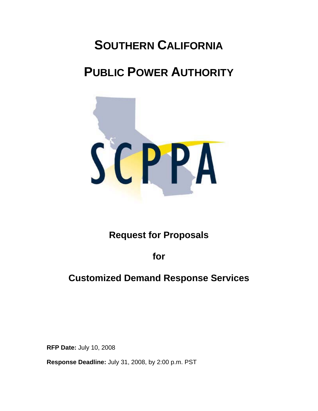# **SOUTHERN CALIFORNIA**

# **PUBLIC POWER AUTHORITY**



# **Request for Proposals**

**for** 

# **Customized Demand Response Services**

**RFP Date:** July 10, 2008

**Response Deadline:** July 31, 2008, by 2:00 p.m. PST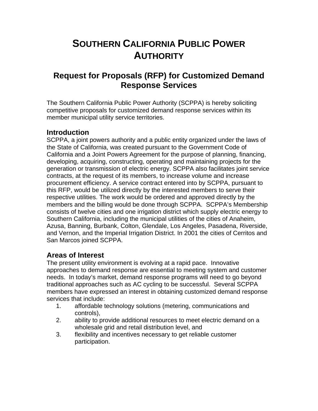# **SOUTHERN CALIFORNIA PUBLIC POWER AUTHORITY**

# **Request for Proposals (RFP) for Customized Demand Response Services**

The Southern California Public Power Authority (SCPPA) is hereby soliciting competitive proposals for customized demand response services within its member municipal utility service territories.

### **Introduction**

SCPPA, a joint powers authority and a public entity organized under the laws of the State of California, was created pursuant to the Government Code of California and a Joint Powers Agreement for the purpose of planning, financing, developing, acquiring, constructing, operating and maintaining projects for the generation or transmission of electric energy. SCPPA also facilitates joint service contracts, at the request of its members, to increase volume and increase procurement efficiency. A service contract entered into by SCPPA, pursuant to this RFP, would be utilized directly by the interested members to serve their respective utilities. The work would be ordered and approved directly by the members and the billing would be done through SCPPA. SCPPA's Membership consists of twelve cities and one irrigation district which supply electric energy to Southern California, including the municipal utilities of the cities of Anaheim, Azusa, Banning, Burbank, Colton, Glendale, Los Angeles, Pasadena, Riverside, and Vernon, and the Imperial Irrigation District. In 2001 the cities of Cerritos and San Marcos joined SCPPA.

# **Areas of Interest**

The present utility environment is evolving at a rapid pace. Innovative approaches to demand response are essential to meeting system and customer needs. In today's market, demand response programs will need to go beyond traditional approaches such as AC cycling to be successful. Several SCPPA members have expressed an interest in obtaining customized demand response services that include:

- 1. affordable technology solutions (metering, communications and controls),
- 2. ability to provide additional resources to meet electric demand on a wholesale grid and retail distribution level, and
- 3. flexibility and incentives necessary to get reliable customer participation.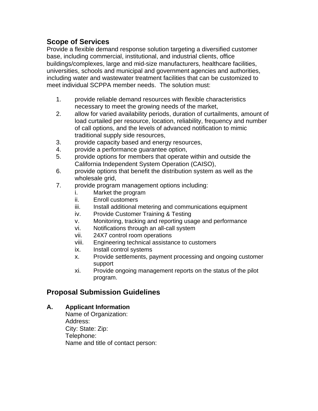# **Scope of Services**

Provide a flexible demand response solution targeting a diversified customer base, including commercial, institutional, and industrial clients, office buildings/complexes, large and mid-size manufacturers, healthcare facilities, universities, schools and municipal and government agencies and authorities, including water and wastewater treatment facilities that can be customized to meet individual SCPPA member needs. The solution must:

- 1. provide reliable demand resources with flexible characteristics necessary to meet the growing needs of the market,
- 2. allow for varied availability periods, duration of curtailments, amount of load curtailed per resource, location, reliability, frequency and number of call options, and the levels of advanced notification to mimic traditional supply side resources,
- 3. provide capacity based and energy resources,
- 4. provide a performance guarantee option,
- 5. provide options for members that operate within and outside the California Independent System Operation (CAISO),
- 6. provide options that benefit the distribution system as well as the wholesale grid,
- 7. provide program management options including:
	- i. Market the program
	- ii. Enroll customers
	- iii. Install additional metering and communications equipment
	- iv. Provide Customer Training & Testing
	- v. Monitoring, tracking and reporting usage and performance
	- vi. Notifications through an all-call system
	- vii. 24X7 control room operations
	- viii. Engineering technical assistance to customers
	- ix. Install control systems
	- x. Provide settlements, payment processing and ongoing customer support
	- xi. Provide ongoing management reports on the status of the pilot program.

### **Proposal Submission Guidelines**

#### **A. Applicant Information**

 Name of Organization: Address: City: State: Zip: Telephone: Name and title of contact person: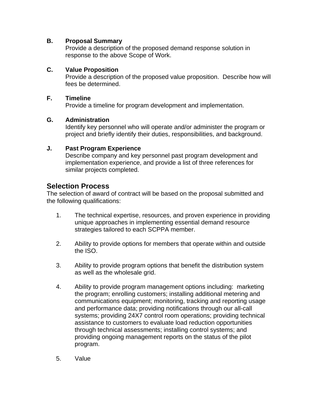#### **B. Proposal Summary**

 Provide a description of the proposed demand response solution in response to the above Scope of Work.

#### **C. Value Proposition**

 Provide a description of the proposed value proposition. Describe how will fees be determined.

#### **F. Timeline**

Provide a timeline for program development and implementation.

#### **G. Administration**

 Identify key personnel who will operate and/or administer the program or project and briefly identify their duties, responsibilities, and background.

#### **J. Past Program Experience**

 Describe company and key personnel past program development and implementation experience, and provide a list of three references for similar projects completed.

### **Selection Process**

The selection of award of contract will be based on the proposal submitted and the following qualifications:

- 1. The technical expertise, resources, and proven experience in providing unique approaches in implementing essential demand resource strategies tailored to each SCPPA member.
- 2. Ability to provide options for members that operate within and outside the ISO.
- 3. Ability to provide program options that benefit the distribution system as well as the wholesale grid.
- 4. Ability to provide program management options including: marketing the program; enrolling customers; installing additional metering and communications equipment; monitoring, tracking and reporting usage and performance data; providing notifications through our all-call systems; providing 24X7 control room operations; providing technical assistance to customers to evaluate load reduction opportunities through technical assessments; installing control systems; and providing ongoing management reports on the status of the pilot program.
- 5. Value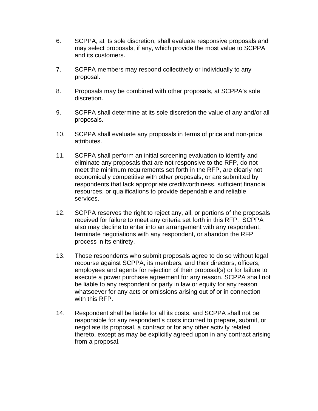- 6. SCPPA, at its sole discretion, shall evaluate responsive proposals and may select proposals, if any, which provide the most value to SCPPA and its customers.
- 7. SCPPA members may respond collectively or individually to any proposal.
- 8. Proposals may be combined with other proposals, at SCPPA's sole discretion.
- 9. SCPPA shall determine at its sole discretion the value of any and/or all proposals.
- 10. SCPPA shall evaluate any proposals in terms of price and non-price attributes.
- 11. SCPPA shall perform an initial screening evaluation to identify and eliminate any proposals that are not responsive to the RFP, do not meet the minimum requirements set forth in the RFP, are clearly not economically competitive with other proposals, or are submitted by respondents that lack appropriate creditworthiness, sufficient financial resources, or qualifications to provide dependable and reliable services.
- 12. SCPPA reserves the right to reject any, all, or portions of the proposals received for failure to meet any criteria set forth in this RFP. SCPPA also may decline to enter into an arrangement with any respondent, terminate negotiations with any respondent, or abandon the RFP process in its entirety.
- 13. Those respondents who submit proposals agree to do so without legal recourse against SCPPA, its members, and their directors, officers, employees and agents for rejection of their proposal(s) or for failure to execute a power purchase agreement for any reason. SCPPA shall not be liable to any respondent or party in law or equity for any reason whatsoever for any acts or omissions arising out of or in connection with this RFP.
- 14. Respondent shall be liable for all its costs, and SCPPA shall not be responsible for any respondent's costs incurred to prepare, submit, or negotiate its proposal, a contract or for any other activity related thereto, except as may be explicitly agreed upon in any contract arising from a proposal.